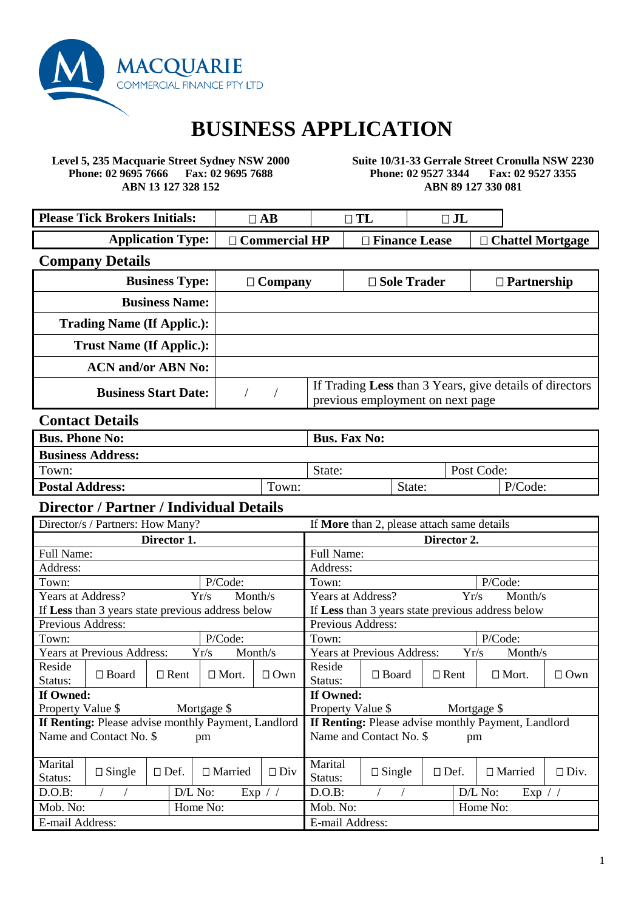

# **BUSINESS APPLICATION**

**Level 5, 235 Macquarie Street Sydney NSW 2000 Phone: 02 9695 7666 Fax: 02 9695 7688 ABN 13 127 328 152**

**Suite 10/31-33 Gerrale Street Cronulla NSW 2230 Phone: 02 9527 3344 Fax: 02 9527 3355 ABN 89 127 330 081**

| <b>Please Tick Brokers Initials:</b> | $\neg$ AB            |  | $\Box$ $\mathrm{J}\mathrm{L}$ |                         |
|--------------------------------------|----------------------|--|-------------------------------|-------------------------|
| <b>Application Type:</b>             | $\Box$ Commercial HP |  | $\Box$ Finance Lease          | $\Box$ Chattel Mortgage |

## **Company Details**

| <b>Business Type:</b>             | $\Box$ Company | $\square$ Sole Trader                                                                       | $\Box$ Partnership |
|-----------------------------------|----------------|---------------------------------------------------------------------------------------------|--------------------|
| <b>Business Name:</b>             |                |                                                                                             |                    |
| <b>Trading Name (If Applic.):</b> |                |                                                                                             |                    |
| <b>Trust Name (If Applic.):</b>   |                |                                                                                             |                    |
| <b>ACN</b> and/or <b>ABN</b> No:  |                |                                                                                             |                    |
| <b>Business Start Date:</b>       |                | If Trading Less than 3 Years, give details of directors<br>previous employment on next page |                    |

## **Contact Details**

| <b>Bus. Phone No:</b>    |       | <b>Bus. Fax No:</b> |        |            |         |
|--------------------------|-------|---------------------|--------|------------|---------|
| <b>Business Address:</b> |       |                     |        |            |         |
| Town:                    |       | State:              |        | Post Code: |         |
| <b>Postal Address:</b>   | Town: |                     | State: |            | P/Code: |

#### **Director / Partner / Individual Details**

| Director/s / Partners: How Many? |                                                     |             |                      | If More than 2, please attach same details |                                                            |                                   |             |      |                                                   |             |
|----------------------------------|-----------------------------------------------------|-------------|----------------------|--------------------------------------------|------------------------------------------------------------|-----------------------------------|-------------|------|---------------------------------------------------|-------------|
| Director 1.                      |                                                     |             | Director 2.          |                                            |                                                            |                                   |             |      |                                                   |             |
| Full Name:                       |                                                     |             |                      |                                            |                                                            | Full Name:                        |             |      |                                                   |             |
| Address:                         |                                                     |             |                      |                                            | Address:                                                   |                                   |             |      |                                                   |             |
| Town:                            |                                                     |             | P/Code:              |                                            | Town:                                                      |                                   |             |      | P/Code:                                           |             |
| Years at Address?                |                                                     |             | Yr/s                 | Month/s                                    | Years at Address?                                          |                                   |             | Yr/s | Month/s                                           |             |
|                                  | If Less than 3 years state previous address below   |             |                      |                                            |                                                            |                                   |             |      | If Less than 3 years state previous address below |             |
| Previous Address:                |                                                     |             |                      |                                            | <b>Previous Address:</b>                                   |                                   |             |      |                                                   |             |
| Town:                            |                                                     |             | P/Code:              |                                            | Town:                                                      |                                   |             |      | P/Code:                                           |             |
|                                  | <b>Years at Previous Address:</b>                   |             | Yr/s                 | Month/s                                    |                                                            | <b>Years at Previous Address:</b> |             | Yr/s | Month/s                                           |             |
| Reside                           | $\Box$ Board                                        | $\Box$ Rent | $\Box$ Mort.         | $\Box$ Own                                 | Reside                                                     | $\Box$ Board                      | $\Box$ Rent |      |                                                   |             |
| Status:                          |                                                     |             |                      |                                            | Status:                                                    |                                   |             |      | $\Box$ Mort.                                      | $\Box$ Own  |
| If Owned:                        |                                                     |             |                      |                                            | If Owned:                                                  |                                   |             |      |                                                   |             |
| Property Value \$                |                                                     |             | Mortgage \$          |                                            | Property Value \$                                          |                                   |             |      | Mortgage \$                                       |             |
|                                  | If Renting: Please advise monthly Payment, Landlord |             |                      |                                            | <b>If Renting:</b> Please advise monthly Payment, Landlord |                                   |             |      |                                                   |             |
|                                  | Name and Contact No. \$                             |             | pm                   |                                            |                                                            | Name and Contact No. \$           |             | pm   |                                                   |             |
|                                  |                                                     |             |                      |                                            |                                                            |                                   |             |      |                                                   |             |
| Marital                          | $\Box$ Single                                       | $\Box$ Def. | $\Box$ Married       | $\Box$ Div                                 | Marital                                                    | $\Box$ Single                     | $\Box$ Def. |      | $\Box$ Married                                    | $\Box$ Div. |
| Status:                          |                                                     |             |                      |                                            | Status:                                                    |                                   |             |      |                                                   |             |
| $D.O.B$ :                        |                                                     | $D/L$ No:   |                      | Exp / /                                    | D.O.B:                                                     |                                   |             |      | D/L No:<br>Exp / /                                |             |
|                                  | Mob. No:<br>Home No:                                |             | Mob. No:<br>Home No: |                                            |                                                            |                                   |             |      |                                                   |             |
| E-mail Address:                  |                                                     |             |                      |                                            | E-mail Address:                                            |                                   |             |      |                                                   |             |